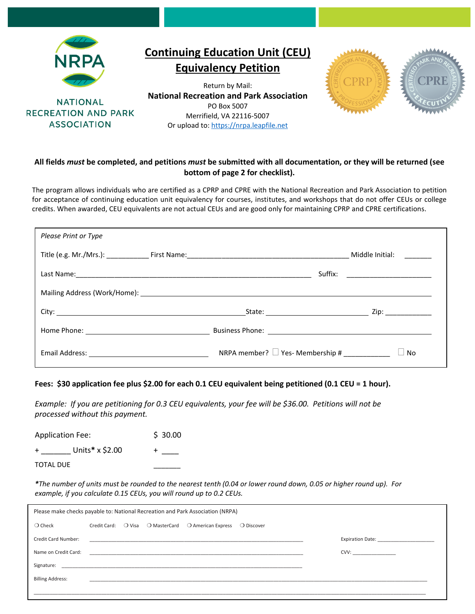

**NATIONAL RECREATION AND PARK ASSOCIATION** 

## **Continuing Education Unit (CEU) Equivalency Petition**

Return by Mail: **National Recreation and Park Association**  PO Box 5007 Merrifield, VA 22116-5007 Or upload to[: https://nrpa.leapfile.net](https://clicktime.symantec.com/352H5mchJL2yqnc78sGyhTy7Vc?u=https%3A%2F%2Fnrpa.leapfile.net)



## **All fields** *must* **be completed, and petitions** *must* **be submitted with all documentation, or they will be returned (see bottom of page 2 for checklist).**

The program allows individuals who are certified as a CPRP and CPRE with the National Recreation and Park Association to petition for acceptance of continuing education unit equivalency for courses, institutes, and workshops that do not offer CEUs or college credits. When awarded, CEU equivalents are not actual CEUs and are good only for maintaining CPRP and CPRE certifications.

| <b>Please Print or Type</b> |                                                   |                                  |
|-----------------------------|---------------------------------------------------|----------------------------------|
|                             |                                                   |                                  |
|                             |                                                   | Suffix: ________________________ |
|                             |                                                   |                                  |
|                             |                                                   | State: Zip: Zip:                 |
|                             |                                                   |                                  |
|                             | NRPA member? $\Box$ Yes-Membership # ____________ | <b>No</b>                        |

## **Fees: \$30 application fee plus \$2.00 for each 0.1 CEU equivalent being petitioned (0.1 CEU = 1 hour).**

*Example: If you are petitioning for 0.3 CEU equivalents, your fee will be \$36.00. Petitions will not be processed without this payment.*

Application Fee: \$ 30.00 + \_\_\_\_\_\_\_ Units**\*** x \$2.00 + \_\_\_\_ TOTAL DUE

*\*The number of units must be rounded to the nearest tenth (0.04 or lower round down, 0.05 or higher round up). For example, if you calculate 0.15 CEUs, you will round up to 0.2 CEUs.*

| Please make checks payable to: National Recreation and Park Association (NRPA) |                                                                                   |            |  |  |  |  |
|--------------------------------------------------------------------------------|-----------------------------------------------------------------------------------|------------|--|--|--|--|
| $\bigcirc$ Check                                                               | $\bigcirc$ Visa $\bigcirc$ MasterCard $\bigcirc$ American Express<br>Credit Card: | ○ Discover |  |  |  |  |
| Credit Card Number:                                                            |                                                                                   |            |  |  |  |  |
| Name on Credit Card:                                                           |                                                                                   | CVV:       |  |  |  |  |
| Signature:                                                                     |                                                                                   |            |  |  |  |  |
| <b>Billing Address:</b>                                                        |                                                                                   |            |  |  |  |  |
|                                                                                |                                                                                   |            |  |  |  |  |